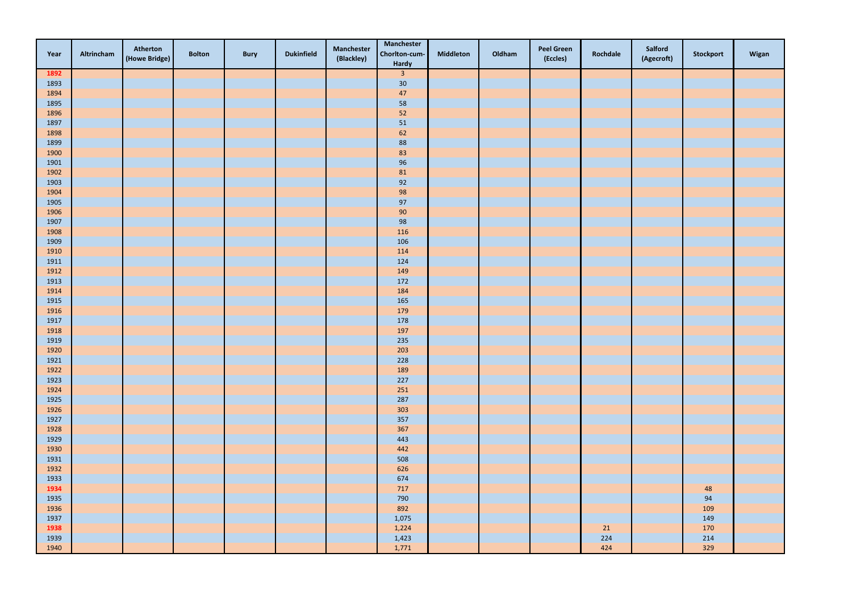| Year         | Altrincham | Atherton<br>(Howe Bridge) | <b>Bolton</b> | <b>Bury</b> | <b>Dukinfield</b> | <b>Manchester</b><br>(Blackley) | <b>Manchester</b><br>Chorlton-cum-<br>Hardy | <b>Middleton</b> | Oldham | <b>Peel Green</b><br>(Eccles) | Rochdale | Salford<br>(Agecroft) | Stockport | Wigan |
|--------------|------------|---------------------------|---------------|-------------|-------------------|---------------------------------|---------------------------------------------|------------------|--------|-------------------------------|----------|-----------------------|-----------|-------|
| 1892         |            |                           |               |             |                   |                                 | $\overline{\mathbf{3}}$                     |                  |        |                               |          |                       |           |       |
| 1893         |            |                           |               |             |                   |                                 | $30\,$                                      |                  |        |                               |          |                       |           |       |
| 1894         |            |                           |               |             |                   |                                 | 47                                          |                  |        |                               |          |                       |           |       |
| 1895         |            |                           |               |             |                   |                                 | 58                                          |                  |        |                               |          |                       |           |       |
| 1896         |            |                           |               |             |                   |                                 | 52                                          |                  |        |                               |          |                       |           |       |
| 1897         |            |                           |               |             |                   |                                 | 51                                          |                  |        |                               |          |                       |           |       |
| 1898         |            |                           |               |             |                   |                                 | 62                                          |                  |        |                               |          |                       |           |       |
| 1899         |            |                           |               |             |                   |                                 | 88                                          |                  |        |                               |          |                       |           |       |
| 1900         |            |                           |               |             |                   |                                 | 83                                          |                  |        |                               |          |                       |           |       |
| 1901         |            |                           |               |             |                   |                                 | 96                                          |                  |        |                               |          |                       |           |       |
| 1902         |            |                           |               |             |                   |                                 | 81                                          |                  |        |                               |          |                       |           |       |
| 1903         |            |                           |               |             |                   |                                 | 92                                          |                  |        |                               |          |                       |           |       |
| 1904         |            |                           |               |             |                   |                                 | 98                                          |                  |        |                               |          |                       |           |       |
| 1905         |            |                           |               |             |                   |                                 | 97                                          |                  |        |                               |          |                       |           |       |
| 1906         |            |                           |               |             |                   |                                 | 90                                          |                  |        |                               |          |                       |           |       |
| 1907         |            |                           |               |             |                   |                                 | 98                                          |                  |        |                               |          |                       |           |       |
| 1908         |            |                           |               |             |                   |                                 | 116                                         |                  |        |                               |          |                       |           |       |
| 1909         |            |                           |               |             |                   |                                 | 106                                         |                  |        |                               |          |                       |           |       |
| 1910         |            |                           |               |             |                   |                                 | 114                                         |                  |        |                               |          |                       |           |       |
| 1911         |            |                           |               |             |                   |                                 | 124                                         |                  |        |                               |          |                       |           |       |
| 1912         |            |                           |               |             |                   |                                 | 149                                         |                  |        |                               |          |                       |           |       |
| 1913         |            |                           |               |             |                   |                                 | 172                                         |                  |        |                               |          |                       |           |       |
| 1914<br>1915 |            |                           |               |             |                   |                                 | 184                                         |                  |        |                               |          |                       |           |       |
| 1916         |            |                           |               |             |                   |                                 | 165<br>179                                  |                  |        |                               |          |                       |           |       |
| 1917         |            |                           |               |             |                   |                                 | 178                                         |                  |        |                               |          |                       |           |       |
| 1918         |            |                           |               |             |                   |                                 | 197                                         |                  |        |                               |          |                       |           |       |
| 1919         |            |                           |               |             |                   |                                 | 235                                         |                  |        |                               |          |                       |           |       |
| 1920         |            |                           |               |             |                   |                                 | 203                                         |                  |        |                               |          |                       |           |       |
| 1921         |            |                           |               |             |                   |                                 | 228                                         |                  |        |                               |          |                       |           |       |
| 1922         |            |                           |               |             |                   |                                 | 189                                         |                  |        |                               |          |                       |           |       |
| 1923         |            |                           |               |             |                   |                                 | 227                                         |                  |        |                               |          |                       |           |       |
| 1924         |            |                           |               |             |                   |                                 | 251                                         |                  |        |                               |          |                       |           |       |
| 1925         |            |                           |               |             |                   |                                 | 287                                         |                  |        |                               |          |                       |           |       |
| 1926         |            |                           |               |             |                   |                                 | 303                                         |                  |        |                               |          |                       |           |       |
| 1927         |            |                           |               |             |                   |                                 | 357                                         |                  |        |                               |          |                       |           |       |
| 1928         |            |                           |               |             |                   |                                 | 367                                         |                  |        |                               |          |                       |           |       |
| 1929         |            |                           |               |             |                   |                                 | 443                                         |                  |        |                               |          |                       |           |       |
| 1930         |            |                           |               |             |                   |                                 | 442                                         |                  |        |                               |          |                       |           |       |
| 1931         |            |                           |               |             |                   |                                 | 508                                         |                  |        |                               |          |                       |           |       |
| 1932         |            |                           |               |             |                   |                                 | 626                                         |                  |        |                               |          |                       |           |       |
| 1933         |            |                           |               |             |                   |                                 | 674                                         |                  |        |                               |          |                       |           |       |
| 1934         |            |                           |               |             |                   |                                 | 717                                         |                  |        |                               |          |                       | 48        |       |
| 1935         |            |                           |               |             |                   |                                 | 790                                         |                  |        |                               |          |                       | 94        |       |
| 1936         |            |                           |               |             |                   |                                 | 892                                         |                  |        |                               |          |                       | 109       |       |
| 1937         |            |                           |               |             |                   |                                 | 1,075                                       |                  |        |                               |          |                       | 149       |       |
| 1938         |            |                           |               |             |                   |                                 | 1,224                                       |                  |        |                               | 21       |                       | 170       |       |
| 1939         |            |                           |               |             |                   |                                 | 1,423                                       |                  |        |                               | 224      |                       | 214       |       |
| 1940         |            |                           |               |             |                   |                                 | 1,771                                       |                  |        |                               | 424      |                       | 329       |       |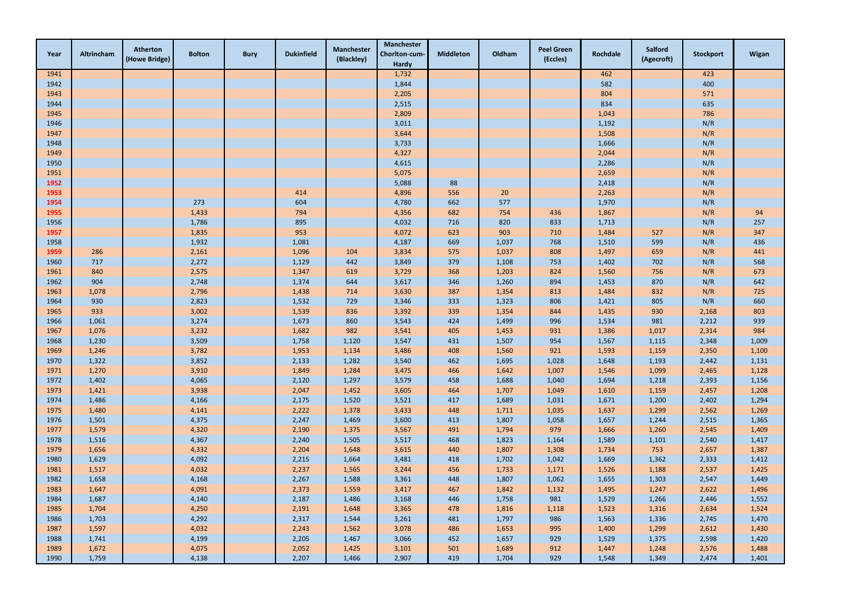| Year | Altrincham | Atherton<br>(Howe Bridge) | <b>Bolton</b> | <b>Bury</b> | <b>Dukinfield</b> | <b>Manchester</b><br>(Blackley) | <b>Manchester</b><br>Chorlton-cum-<br><b>Hardy</b> | <b>Middleton</b> | Oldham | <b>Peel Green</b><br>(Eccles) | Rochdale | <b>Salford</b><br>(Agecroft) | <b>Stockport</b> | Wigan |
|------|------------|---------------------------|---------------|-------------|-------------------|---------------------------------|----------------------------------------------------|------------------|--------|-------------------------------|----------|------------------------------|------------------|-------|
| 1941 |            |                           |               |             |                   |                                 | 1,732                                              |                  |        |                               | 462      |                              | 423              |       |
| 1942 |            |                           |               |             |                   |                                 | 1,844                                              |                  |        |                               | 582      |                              | 400              |       |
| 1943 |            |                           |               |             |                   |                                 | 2,205                                              |                  |        |                               | 804      |                              | 571              |       |
| 1944 |            |                           |               |             |                   |                                 | 2,515                                              |                  |        |                               | 834      |                              | 635              |       |
| 1945 |            |                           |               |             |                   |                                 | 2,809                                              |                  |        |                               | 1,043    |                              | 786              |       |
| 1946 |            |                           |               |             |                   |                                 | 3,011                                              |                  |        |                               | 1,192    |                              | N/R              |       |
| 1947 |            |                           |               |             |                   |                                 | 3,644                                              |                  |        |                               | 1,508    |                              | N/R              |       |
| 1948 |            |                           |               |             |                   |                                 | 3,733                                              |                  |        |                               | 1,666    |                              | N/R              |       |
| 1949 |            |                           |               |             |                   |                                 | 4,327                                              |                  |        |                               | 2,044    |                              | N/R              |       |
| 1950 |            |                           |               |             |                   |                                 | 4,615                                              |                  |        |                               | 2,286    |                              | N/R              |       |
| 1951 |            |                           |               |             |                   |                                 | 5,075                                              |                  |        |                               | 2,659    |                              | N/R              |       |
| 1952 |            |                           |               |             |                   |                                 | 5,088                                              | 88               |        |                               | 2,418    |                              | N/R              |       |
| 1953 |            |                           |               |             | 414               |                                 | 4,896                                              | 556              | 20     |                               | 2,263    |                              | N/R              |       |
| 1954 |            |                           | 273           |             | 604               |                                 | 4,780                                              | 662              | 577    |                               | 1,970    |                              | N/R              |       |
| 1955 |            |                           | 1,433         |             | 794               |                                 | 4,356                                              | 682              | 754    | 436                           | 1,867    |                              | N/R              | 94    |
| 1956 |            |                           | 1,786         |             | 895               |                                 | 4,032                                              | 716              | 820    | 833                           | 1,713    |                              | N/R              | 257   |
| 1957 |            |                           | 1,835         |             | 953               |                                 | 4,072                                              | 623              | 903    | 710                           | 1,484    | 527                          | N/R              | 347   |
| 1958 |            |                           | 1,932         |             | 1,081             |                                 | 4,187                                              | 669              | 1,037  | 768                           | 1,510    | 599                          | N/R              | 436   |
| 1959 | 286        |                           | 2,161         |             | 1,096             | 104                             | 3,834                                              | 575              | 1,037  | 808                           | 1,497    | 659                          | N/R              | 441   |
| 1960 | 717        |                           | 2,272         |             | 1,129             | 442                             | 3,849                                              | 379              | 1,108  | 753                           | 1,402    | 702                          | N/R              | 568   |
| 1961 | 840        |                           | 2,575         |             | 1,347             | 619                             | 3,729                                              | 368              | 1,203  | 824                           | 1,560    | 756                          | N/R              | 673   |
| 1962 | 904        |                           | 2,748         |             | 1,374             | 644                             | 3,617                                              | 346              | 1,260  | 894                           | 1,453    | 870                          | N/R              | 642   |
| 1963 | 1,078      |                           | 2,796         |             | 1,438             | 714                             | 3,630                                              | 387              | 1,354  | 813                           | 1,484    | 832                          | N/R              | 725   |
| 1964 | 930        |                           | 2,823         |             | 1,532             | 729                             | 3,346                                              | 333              | 1,323  | 806                           | 1,421    | 805                          | N/R              | 660   |
| 1965 | 933        |                           | 3,002         |             | 1,539             | 836                             | 3,392                                              | 339              | 1,354  | 844                           | 1,435    | 930                          | 2,168            | 803   |
| 1966 | 1,061      |                           | 3,274         |             | 1,673             | 860                             | 3,543                                              | 424              | 1,499  | 996                           | 1,534    | 981                          | 2,212            | 939   |
| 1967 | 1,076      |                           | 3,232         |             | 1,682             | 982                             | 3,541                                              | 405              | 1,453  | 931                           | 1,386    | 1,017                        | 2,314            | 984   |
| 1968 | 1,230      |                           | 3,509         |             | 1,758             | 1,120                           | 3,547                                              | 431              | 1,507  | 954                           | 1,567    | 1,115                        | 2,348            | 1,009 |
| 1969 | 1,246      |                           | 3,782         |             | 1,953             | 1,134                           | 3,486                                              | 408              | 1,560  | 921                           | 1,593    | 1,159                        | 2,350            | 1,100 |
| 1970 | 1,322      |                           | 3,852         |             | 2,133             | 1,282                           | 3,540                                              | 462              | 1,695  | 1,028                         | 1,648    | 1,193                        | 2,442            | 1,131 |
| 1971 | 1,270      |                           | 3,910         |             | 1,849             | 1,284                           | 3,475                                              | 466              | 1,642  | 1,007                         | 1,546    | 1,099                        | 2,465            | 1,128 |
| 1972 | 1,402      |                           | 4,065         |             | 2,120             | 1,297                           | 3,579                                              | 458              | 1,688  | 1,040                         | 1,694    | 1,218                        | 2,393            | 1,156 |
| 1973 | 1,421      |                           | 3,938         |             | 2,047             | 1,452                           | 3,605                                              | 464              | 1,707  | 1,049                         | 1,610    | 1,159                        | 2,457            | 1,208 |
| 1974 | 1,486      |                           | 4,166         |             | 2,175             | 1,520                           | 3,521                                              | 417              | 1,689  | 1,031                         | 1,671    | 1,200                        | 2,402            | 1,294 |
| 1975 | 1,480      |                           | 4,141         |             | 2,222             | 1,378                           | 3,433                                              | 448              | 1,711  | 1,035                         | 1,637    | 1,299                        | 2,562            | 1,269 |
| 1976 | 1,501      |                           | 4,375         |             | 2,247             | 1,469                           | 3,600                                              | 413              | 1,807  | 1,058                         | 1,657    | 1,244                        | 2,515            | 1,365 |
| 1977 | 1,579      |                           | 4,320         |             | 2,190             | 1,375                           | 3,567                                              | 491              | 1,794  | 979                           | 1,666    | 1,260                        | 2,545            | 1,409 |
| 1978 | 1,516      |                           | 4,367         |             | 2,240             | 1,505                           | 3,517                                              | 468              | 1,823  | 1,164                         | 1,589    | 1,101                        | 2,540            | 1,417 |
| 1979 | 1,656      |                           | 4,332         |             | 2,204             | 1,648                           | 3,615                                              | 440              | 1,807  | 1,308                         | 1,734    | 753                          | 2,657            | 1,387 |
| 1980 | 1,629      |                           | 4,092         |             | 2,215             | 1,664                           | 3,481                                              | 418              | 1,702  | 1,042                         | 1,669    | 1,362                        | 2,333            | 1,412 |
| 1981 | 1,517      |                           | 4,032         |             | 2,237             | 1,565                           | 3,244                                              | 456              | 1,733  | 1,171                         | 1,526    | 1,188                        | 2,537            | 1,425 |
| 1982 | 1,658      |                           | 4,168         |             | 2,267             | 1,588                           | 3,361                                              | 448              | 1,807  | 1,062                         | 1,655    | 1,303                        | 2,547            | 1,449 |
| 1983 | 1,647      |                           | 4,091         |             | 2,373             | 1,559                           | 3,417                                              | 467              | 1,842  | 1,132                         | 1,495    | 1,247                        | 2,622            | 1,496 |
| 1984 | 1,687      |                           | 4,140         |             | 2,187             | 1,486                           | 3,168                                              | 446              | 1,758  | 981                           | 1,529    | 1,266                        | 2,446            | 1,552 |
| 1985 | 1,704      |                           | 4,250         |             | 2,191             | 1,648                           | 3,365                                              | 478              | 1,816  | 1,118                         | 1,523    | 1,316                        | 2,634            | 1,524 |
| 1986 | 1,703      |                           | 4,292         |             | 2,317             | 1,544                           | 3,261                                              | 481              | 1,797  | 986                           | 1,563    | 1,336                        | 2,745            | 1,470 |
| 1987 | 1,597      |                           | 4,032         |             | 2,243             | 1,562                           | 3,078                                              | 486              | 1,653  | 995                           | 1,400    | 1,299                        | 2,612            | 1,430 |
| 1988 | 1,741      |                           | 4,199         |             | 2,205             | 1,467                           | 3,066                                              | 452              | 1,657  | 929                           | 1,529    | 1,375                        | 2,598            | 1,420 |
| 1989 | 1,672      |                           | 4,075         |             | 2,052             | 1,425                           | 3,101                                              | 501              | 1,689  | 912                           | 1,447    | 1,248                        | 2,576            | 1,488 |
| 1990 | 1,759      |                           | 4,138         |             | 2,207             | 1,466                           | 2,907                                              | 419              | 1,704  | 929                           | 1,548    | 1,349                        | 2,474            | 1,401 |